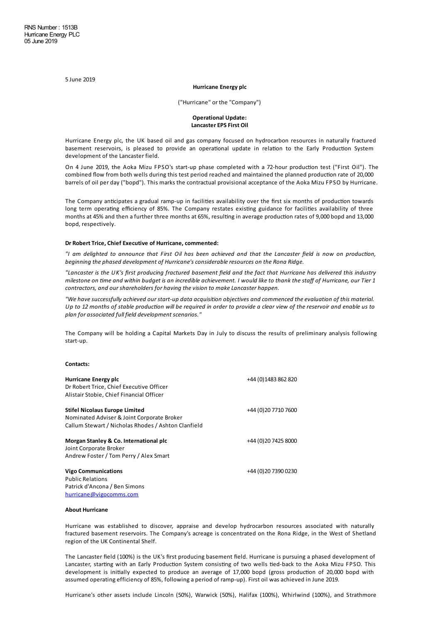5 June 2019

### **Hurricane Energy plc**

("Hurricane" or the "Company")

# **Operational Update: LancasterEPSFirst Oil**

Hurricane Energy plc, the UK based oil and gas company focused on hydrocarbon resources in naturally fractured basement reservoirs, is pleased to provide an operational update in relation to the Early Production System development of the Lancaster field.

On 4 June 2019, the Aoka Mizu FPSO's start-up phase completed with a 72-hour production test ("First Oil"). The combined flow from both wells during this test period reached and maintained the planned production rate of 20,000 barrels of oil per day ("bopd"). This marks the contractual provisional acceptance of the Aoka Mizu FPSO by Hurricane.

The Company anticipates a gradual ramp-up in facilities availability over the first six months of production towards long term operating efficiency of 85%. The Company restates existing guidance for facilities availability of three months at 45% and then a further three months at 65%, resulting in average production rates of 9,000 bopd and 13,000 bopd, respectively.

### **Dr Robert Trice, ChiefExecutive of Hurricane, commented:**

"I am delighted to announce that First Oil has been achieved and that the Lancaster field is now on production, *beginning the phased development of Hurricane's considerableresources on the Rona Ridge.*

"Lancaster is the UK's first producing fractured basement field and the fact that Hurricane has delivered this industry milestone on time and within budget is an incredible achievement. I would like to thank the staff of Hurricane, our Tier 1 *contractors, and our shareholders for having thevision to makeLancaster happen.*

*"We havesuccessfully achieved our start-up data acquisition objectives and commenced theevaluation of this material.* Up to 12 months of stable production will be required in order to provide a clear view of the reservoir and enable us to *plan for associated full field development scenarios."*

The Company will be holding a Capital Markets Day in July to discuss the results of preliminary analysis following start-up.

#### **Contacts:**

| Hurricane Energy plc<br>Dr Robert Trice, Chief Executive Officer<br>Alistair Stobie, Chief Financial Officer                        | +44 (0) 1483 862 820  |
|-------------------------------------------------------------------------------------------------------------------------------------|-----------------------|
| Stifel Nicolaus Europe Limited<br>Nominated Adviser & Joint Corporate Broker<br>Callum Stewart / Nicholas Rhodes / Ashton Clanfield | +44 (0) 20 7710 7600  |
| Morgan Stanley & Co. International plc<br>Joint Corporate Broker<br>Andrew Foster / Tom Perry / Alex Smart                          | +44 (0) 20 74 25 8000 |
| <b>Vigo Communications</b><br>Public Relations<br>Patrick d'Ancona / Ben Simons<br>hurricane@vigocomms.com                          | +44 (0) 20 7390 0230  |

### **About Hurricane**

Hurricane was established to discover, appraise and develop hydrocarbon resources associated with naturally fractured basement reservoirs. The Company's acreage is concentrated on the Rona Ridge, in the West of Shetland region of the UK Continental Shelf.

The Lancaster field (100%) is the UK's first producing basement field. Hurricane is pursuing a phased development of Lancaster, starting with an Early Production System consisting of two wells tied-back to the Aoka Mizu FPSO. This development is initially expected to produce an average of 17,000 bopd (gross production of 20,000 bopd with assumed operating efficiency of 85%, following a period of ramp-up). First oil was achieved in June 2019.

Hurricane's other assets include Lincoln (50%), Warwick (50%), Halifax (100%), Whirlwind (100%), and Strathmore